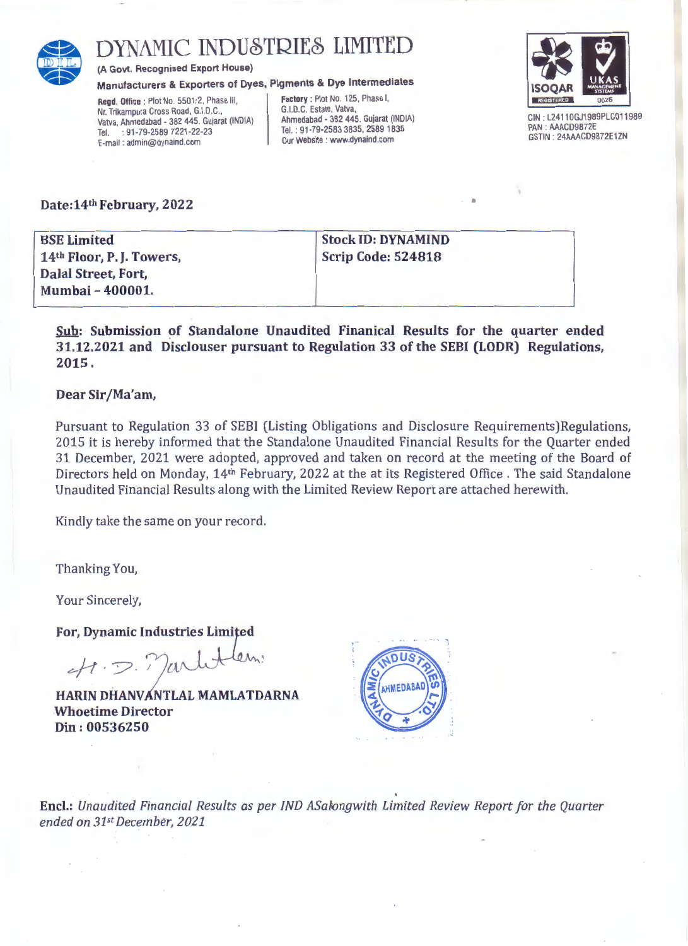

# DYNAMIC INDUSTRIES LIMITED

(A Govt. Recognised Export House)

Manufacturers & Exporters of Dyes, Pigments & Dye Intermediates

Regd. Office : Plot No. 5501/2, Phase III, Nr. Trikampura Cross Road, G.I.D.C., Vatva, Ahmedabad - 382 445. Gujarat (INDIA) Tel. : 91-79-2589 7221-22-23 E-mail : admin@dynaind.com

Factory: Plot No. 125, Phase I, G.I.D.C. Estate, Vatva, Ahmedabad - 382 445. Gujarat (INDIA) Tel. : 91-79-2583 3835, 2589 1835 Our Website : www.dynaind.com



GIN : L2411 OGJ1989PLC011989 PAN : AAACD9872E GSTIN: 24AAACD9872E1ZN

•

# Date: 14th February, 2022

| <b>BSE Limited</b>                    | <b>Stock ID: DYNAMIND</b> |  |
|---------------------------------------|---------------------------|--|
| 14 <sup>th</sup> Floor, P. J. Towers, | <b>Scrip Code: 524818</b> |  |
| Dalal Street, Fort,                   |                           |  |
| Mumbai - 400001.                      |                           |  |

Sub: Submission of Standalone Unaudited Finanical Results for the quarter ended 31.12.2021 and Disclouser pursuant to Regulation 33 of the SEBI (LODR) Regulations, 2015.

# Dear Sir/Ma'am,

Pursuant to Regulation 33 of SEBI (Listing Obligations and Disclosure Requirements)Regulations, 2015 it is hereby informed that the Standalone Unaudited Financial Results for the Quarter ended 31 December, 2021 were adopted, approved and taken on record at the meeting of the Board of Directors held on Monday, 14th February, 2022 at the at its Registered Office . The said Standalone Unaudited Financial Results along with the Limited Review Report are attached herewith.

Kindly take the same on your record.

Thanking You,

Your Sincerely,

For, Dynamic Industries Limited

 $-41.5.$  Marliten.

HARIN DHANVANTLAL MAMLATDARNA .Whoetime Director Din: 00536250



Encl.: Unaudited Financial Results as per IND ASalongwith Limited Review Report for the Quarter *ended on 31stDecember, 2021*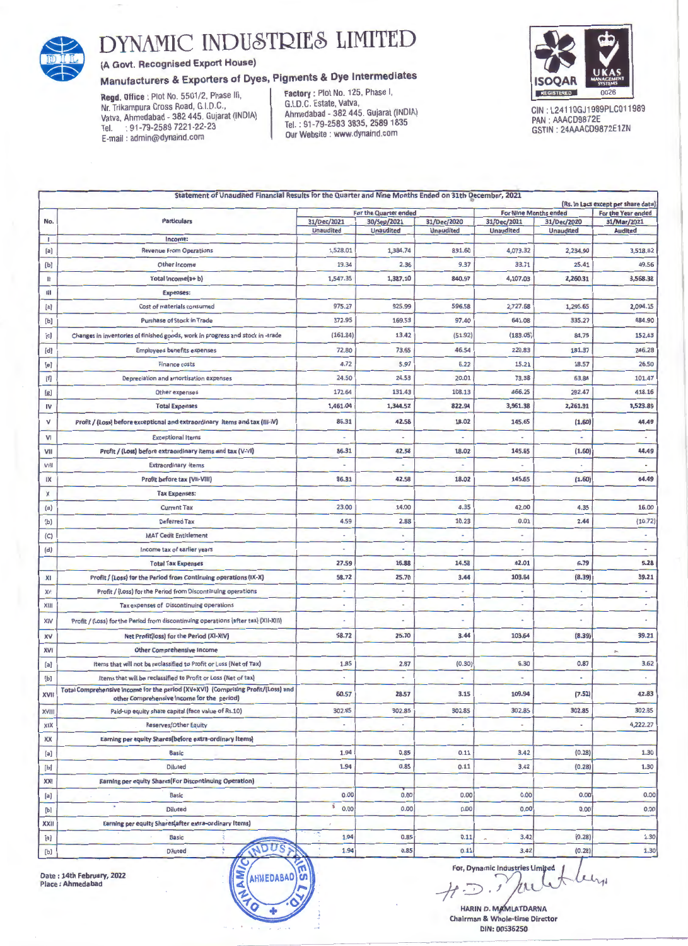

# DYNAMIC INDUSTRIES LIMITED

# (A Govt. Recognised Export House)

# Manufacturers & Exporters of Dyes, Pigments & Dye Intermediates

Regd. Office : Plot No. 5501/2, Phase III, Nr. Trikampura Cross Road, G.I.D.C., Vatva, Ahmedabad- 382 445. Gujarat (INDIA) Tel. : 91-79-2589 7221-22-23 E-mail : admin@dynaind.com

Factory : Plot No. 125, Phase I, G.I.D.C. Estate, Vatva, Ahmedabad - 382 445. Gujarat (INDIA) Tel. : 91-79-2583 3835, 2589 1835 Our Website : www.dynaind.com



CIN : L2411 OGJ1989PLC011989 PAN : AAACD9872E GSTIN : 24AAACD9872E1ZN

| Statement of Unaudited Financial Results for the Quarter and Nine Months Ended on 31th December, 2021<br>(Rs. In Lacs except per share data) |                                                                                                                                |                          |                     |                  |                              |                          |                          |  |  |
|----------------------------------------------------------------------------------------------------------------------------------------------|--------------------------------------------------------------------------------------------------------------------------------|--------------------------|---------------------|------------------|------------------------------|--------------------------|--------------------------|--|--|
|                                                                                                                                              |                                                                                                                                | For the Quarter ended    |                     |                  | <b>For Nine Months ended</b> |                          | For the Year ended       |  |  |
| No.                                                                                                                                          | <b>Particulars</b>                                                                                                             | 31/Dec/2021              | 30/Sep/2021         | 31/Dec/2020      | 31/Dec/2021                  | 31/Dec/2020              | 31/Mar/2021              |  |  |
| 1                                                                                                                                            | Income:                                                                                                                        | <b>Unaudited</b>         | <b>Unaudited</b>    | <b>Unaudited</b> | <b>Unaudited</b>             | <b>Unaudited</b>         | <b>Audited</b>           |  |  |
| [a]                                                                                                                                          | <b>Revenue From Operations</b>                                                                                                 | 1,528.01                 | 1,384.74            | 831.60           | 4,073.32                     | 2,234.90                 | 3,518.82                 |  |  |
| [b]                                                                                                                                          | Other Income                                                                                                                   | 19.34                    | 2.36                | 9.37             | 33.71                        | 25.41                    | 49.56                    |  |  |
| Ш                                                                                                                                            | Total Income(a+b)                                                                                                              | 1,547.35                 | 1,387.10            | 840.97           | 4,107.03                     | 2,260.31                 | 3,568.38                 |  |  |
| Ш                                                                                                                                            | <b>Expenses:</b>                                                                                                               |                          |                     |                  |                              |                          |                          |  |  |
| [a]                                                                                                                                          | Cost of materials consumed                                                                                                     | 975.27                   | 925.99              | 596.58           | 2,727.68                     | 1,295.65                 | 2,094.15                 |  |  |
| [b]                                                                                                                                          | Purchase of Stock in Trade                                                                                                     | 372.95                   | 169.53              | 97.40            | 641.08                       | 335.27                   | 484.90                   |  |  |
| [c]                                                                                                                                          | Changes in inventories of finished goods, work in progress and stock in -trade                                                 | (161.84)                 | 13.42               | (51.92)          | (183.05)                     | 84.75                    | 152,43                   |  |  |
| [d]                                                                                                                                          | <b>Employees benefits expenses</b>                                                                                             | 72.80                    | 73.65               | 46.54            | 220.83                       | 181.37                   | 246.28                   |  |  |
| [e]                                                                                                                                          | <b>Finance costs</b>                                                                                                           | 4.72                     | 5.97                | 6.22             | 15.21                        | 18.57                    | 26.50                    |  |  |
| [f]                                                                                                                                          | Depreciation and amortisation expenses                                                                                         | 24.50                    | 24.53               | 20.01            | 73.38                        | 63.84                    | 101.47                   |  |  |
| [g]                                                                                                                                          | Other expenses                                                                                                                 | 172.64                   | 131.43              | 108.13           | 466.25                       | 282.47                   | 418.16                   |  |  |
| IV                                                                                                                                           | <b>Total Expenses</b>                                                                                                          | 1,461.04                 | 1,344.52            | 822.94           | 3,961.38                     | 2,261.91                 | 3,523.89                 |  |  |
| v                                                                                                                                            | Profit / (Loss) before exceptional and extraordinary items and tax (III-IV)                                                    | 86.31                    | 42.58               | 18.02            | 145.65                       | (1.60)                   | 44.49                    |  |  |
| VI                                                                                                                                           | <b>Exceptional Items</b>                                                                                                       |                          |                     |                  |                              |                          | ٠                        |  |  |
| VII                                                                                                                                          | Profit / (Loss) before extraordinary items and tax (V-VI)                                                                      | 86.31                    | 42.58               | 18.02            | 145.65                       | (1.60)                   | 44.49                    |  |  |
| VIII                                                                                                                                         | <b>Extraordinary items</b>                                                                                                     |                          |                     |                  |                              |                          |                          |  |  |
| IX                                                                                                                                           | Profit before tax (VII-VIII)                                                                                                   | 86.31                    | 42.58               | 18.02            | 145.65                       | (1.60)                   | 44.49                    |  |  |
| X                                                                                                                                            | <b>Tax Expenses:</b>                                                                                                           |                          |                     |                  |                              |                          |                          |  |  |
| (a)                                                                                                                                          | <b>Current Tax</b>                                                                                                             | 23.00                    | 14.00               | 4.35             | 42.00                        | 4.35                     | 16.00                    |  |  |
| (b)                                                                                                                                          | Deferred Tax                                                                                                                   | 4.59                     | 2.88                | 10.23            | 0.01                         | 2.44                     | (10.72)                  |  |  |
| (C)                                                                                                                                          | <b>MAT Cedit Entitlement</b>                                                                                                   |                          |                     | $\blacksquare$   | ٠                            |                          | $\overline{\phantom{a}}$ |  |  |
| (d)                                                                                                                                          | Income tax of earlier years                                                                                                    | ٠                        |                     | $\alpha$         |                              |                          |                          |  |  |
|                                                                                                                                              | <b>Total Tax Expenses</b>                                                                                                      | 27.59                    | 16.88               | 14.58            | 42.01                        | 6.79                     | 5.28                     |  |  |
| XI                                                                                                                                           | Profit / (Loss) for the Period from Continuing operations (IX-X)                                                               | 58.72                    | 25.70               | 3.44             | 103.64                       | (8.39)                   | 39.21                    |  |  |
| XII                                                                                                                                          | Profit / (Loss) for the Period from Discontinuing operations                                                                   | ä,                       |                     | $\sim$           | $\sim$                       | ٠                        | ٠                        |  |  |
| XIII                                                                                                                                         | Tax expenses of Discontinuing operations                                                                                       | ٠                        |                     |                  | $\overline{\phantom{a}}$     | ٠                        | ٠                        |  |  |
| XIV                                                                                                                                          | Profit / (Loss) for the Period from discontinuing operations (after tax) (XII-XIII)                                            |                          |                     |                  |                              |                          |                          |  |  |
| XV                                                                                                                                           | Net Profit(loss) for the Period (XI-XIV)                                                                                       | 58.72                    | 25.70               | 3.44             | 103.64                       | (8.39)                   | 39.21                    |  |  |
| <b>XVI</b>                                                                                                                                   | <b>Other Comprehensive Income</b>                                                                                              |                          |                     |                  |                              |                          | $\mu$                    |  |  |
| [a]                                                                                                                                          | Items that will not be reclassified to Profit or Loss (Net of Tax)                                                             | 1.85                     | 2.87                | (0.30)           | 6.30                         | 0.87                     | 3.62                     |  |  |
| [b]                                                                                                                                          | Items that will be reclassified to Profit or Loss (Net of tax).                                                                | ۰                        |                     | ٠                | ٠                            | $\overline{\phantom{a}}$ | $\tilde{\phantom{a}}$    |  |  |
| XVII                                                                                                                                         | Total Comprehensive income for the period (XV+XVI) (Comprising Profit/(Loss) and<br>other Comprehensive income for the period) | 60.57                    | 28.57               | 3.15             | 109.94                       | (7.52)                   | 42.83                    |  |  |
| XVIII                                                                                                                                        | Paid-up equity share capital (face value of Rs.10)                                                                             | 302.85                   | 302.85              | 302.85           | 302.85                       | 302.85                   | 302.85                   |  |  |
| XIX                                                                                                                                          | Reserves/Other Equity                                                                                                          | $\overline{\phantom{a}}$ | $\scriptstyle\rm m$ | $\bullet$        | ٠                            | $\blacksquare$           | 4,222.27                 |  |  |
| XX                                                                                                                                           | Earning per equity Shares(before extra-ordinary Items)                                                                         |                          |                     |                  |                              |                          |                          |  |  |
| [a]                                                                                                                                          | <b>Basic</b>                                                                                                                   | 1.94                     | 0.85                | 0.11             | 3.42                         | (0.28)                   | 1.30                     |  |  |
| [b]                                                                                                                                          | <b>Diluted</b>                                                                                                                 | 1.94                     | 0.85                | 0.11             | 3.42                         | (0.28)                   | 1.30                     |  |  |
| XXI                                                                                                                                          | Earning per equity Shares(For Discontinuing Operation)                                                                         |                          |                     |                  |                              |                          |                          |  |  |
| [a]                                                                                                                                          | <b>Basic</b>                                                                                                                   | 0.00                     | 0.00                | 0.00             | 0.00                         | 0.00                     | 0.00                     |  |  |
| [b]                                                                                                                                          | ×<br><b>Diluted</b>                                                                                                            | s<br>0.00                | 0.00                | 0.00             | 0.00                         | 0.00                     | 0.00                     |  |  |
| <b>XXII</b>                                                                                                                                  | Earning per equity Shares(after extra-ordinary Items)                                                                          |                          |                     |                  |                              |                          |                          |  |  |
| [a]                                                                                                                                          | <b>Basic</b>                                                                                                                   | 1.94                     | 0.85                | 0.11             | 3.42                         | (0.28)                   | 1.30                     |  |  |
| [b]                                                                                                                                          | Diluted                                                                                                                        | 1.94                     | 0.85                | 0.11             | 3.42                         | (0.28)                   | 1.30                     |  |  |

Date : 14th February<br>Place : Ahmedabad

HARIN D. MARIN D. MARIN D. MARIN D. MARIN D. MARIN ATDARNA

For, Dynamic Industries Limited February, 2022  $\left(\left| \sum_{k=1}^{\infty} \left(\text{AHMEDABAO} \right) \right| \right)$ 

HARIN D. MARIN D. MARIN ATDARNA<br>Chairman & Whole-time Director<br>DIN: 00536250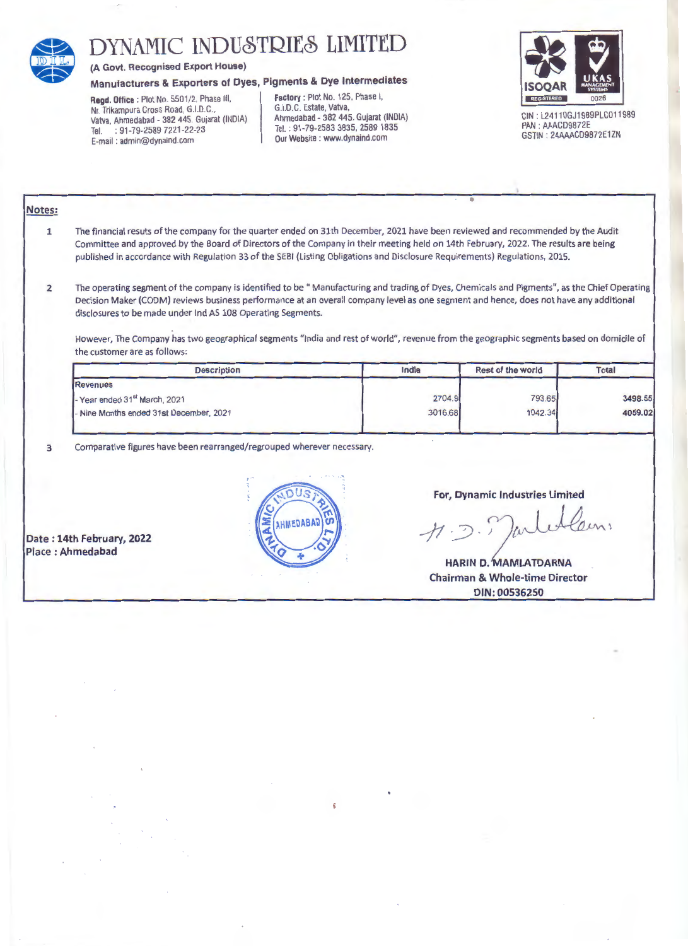

# **EXECUTE INDUSTRIES LIMITED**<br>
(A Govt. Recognised Export House)<br>
Manufacturers & Exporters of Dyes, Pigments & Dye Intermediates<br>
Regd. Office : Plot No. 5501/2, Phase III,<br>
Nr. Trikampura Cross Road, G.I.D.C.<br>
(G.I.D.C.)

# Manufacturers & Exporters of Dyes, Pigments & Dye Intermediates

Nr. Trikampura Cross Road. G.I.D.C., Vatva, Ahmedabad - 382 445. Gujarat (INDIA) Tel. : 91-79-2589 7221-22-23<br>E-mail : admin@dynaind.com Consultation of the Court of the Court of the Court Website : www.dynaind.com GSTIN : 24AAACD9872E1ZN GSTIN : 24AAACD9872E1ZN

### Regd. Office : Plot No. 5501/2, Phase III, Factory : Plot No. 125, Phase I, Factory : Plot No. 125, Phase I, G.I.D.C. Estate, Vatva, Ahmedabad - 382 445. Gujarat (INDIA) Tel. : 91-79-2583 3835, 2589 1835



CIN: L24110GJ1989PLC011989<br>PAN: AAACD9872E GSTIN: 24AAACD9872E1ZN

## Notes:

- 1 The financial resuts of the company for the quarter ended on 31th December, 2021 have been reviewed and recommended by the Audit Committee and approved by the Board of Directors of the Company in their meeting held on 14th February, 2022. The results are being published in accordance with Regulation 33 of the SEBI (Listing Obligations and Disclosure Requirements) Regulations, 2015.
- 2 The operating segment of the company is identified to be " Manufacturing and trading of Dyes, Chemicals and Pigments", as the Chief Operating Decision Maker (CODM) reviews business performance at an overall company level as one segment and hence, does not have any additional disclosures to be made under lnd AS 108 Operating Segments.

However, The Company has two geographical segments "india and rest of world", revenue from the geographic segments based on domicile of the customer are as follows:

| India | Rest of the world | <b>Total</b>                           |  |
|-------|-------------------|----------------------------------------|--|
|       |                   |                                        |  |
|       |                   | 3498.55                                |  |
|       |                   | 4059.02                                |  |
|       |                   | 793.65<br>2704.9<br>1042.34<br>3016.68 |  |

3 Comparative figures have been rearranged/regrouped wherever necessary.

Date : 14th February, 2022 Place : Ahmedabad



For, Dynamic Industries Limited

•

 $H.$ 

HARIN D. MAMLATDARNA Chairman & Whole-time Director DIN:00536250